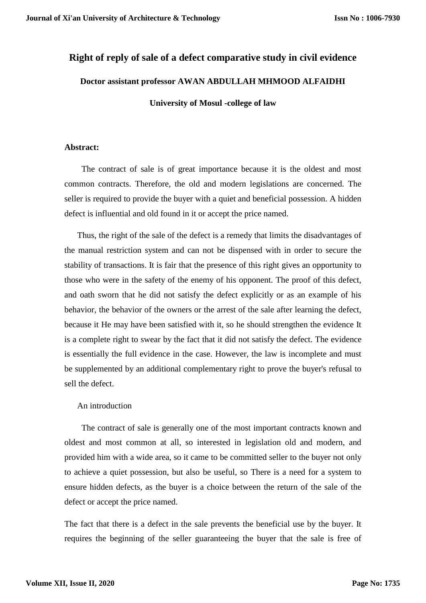# **Right of reply of sale of a defect comparative study in civil evidence**

## **Doctor assistant professor AWAN ABDULLAH MHMOOD ALFAIDHI**

**University of Mosul -college of law**

## **Abstract:**

 The contract of sale is of great importance because it is the oldest and most common contracts. Therefore, the old and modern legislations are concerned. The seller is required to provide the buyer with a quiet and beneficial possession. A hidden defect is influential and old found in it or accept the price named.

 Thus, the right of the sale of the defect is a remedy that limits the disadvantages of the manual restriction system and can not be dispensed with in order to secure the stability of transactions. It is fair that the presence of this right gives an opportunity to those who were in the safety of the enemy of his opponent. The proof of this defect, and oath sworn that he did not satisfy the defect explicitly or as an example of his behavior, the behavior of the owners or the arrest of the sale after learning the defect, because it He may have been satisfied with it, so he should strengthen the evidence It is a complete right to swear by the fact that it did not satisfy the defect. The evidence is essentially the full evidence in the case. However, the law is incomplete and must be supplemented by an additional complementary right to prove the buyer's refusal to sell the defect.

## An introduction

 The contract of sale is generally one of the most important contracts known and oldest and most common at all, so interested in legislation old and modern, and provided him with a wide area, so it came to be committed seller to the buyer not only to achieve a quiet possession, but also be useful, so There is a need for a system to ensure hidden defects, as the buyer is a choice between the return of the sale of the defect or accept the price named.

The fact that there is a defect in the sale prevents the beneficial use by the buyer. It requires the beginning of the seller guaranteeing the buyer that the sale is free of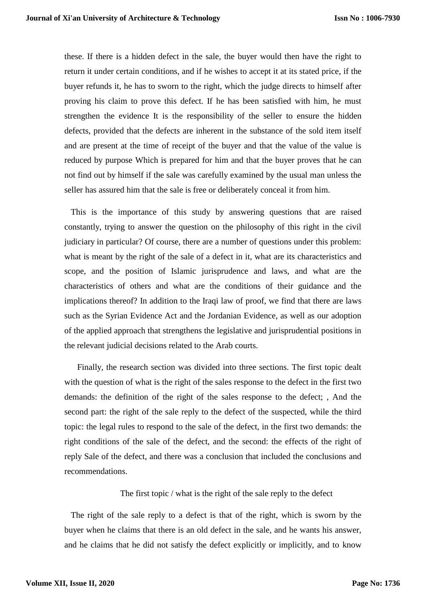these. If there is a hidden defect in the sale, the buyer would then have the right to return it under certain conditions, and if he wishes to accept it at its stated price, if the buyer refunds it, he has to sworn to the right, which the judge directs to himself after proving his claim to prove this defect. If he has been satisfied with him, he must strengthen the evidence It is the responsibility of the seller to ensure the hidden defects, provided that the defects are inherent in the substance of the sold item itself and are present at the time of receipt of the buyer and that the value of the value is reduced by purpose Which is prepared for him and that the buyer proves that he can not find out by himself if the sale was carefully examined by the usual man unless the seller has assured him that the sale is free or deliberately conceal it from him.

 This is the importance of this study by answering questions that are raised constantly, trying to answer the question on the philosophy of this right in the civil judiciary in particular? Of course, there are a number of questions under this problem: what is meant by the right of the sale of a defect in it, what are its characteristics and scope, and the position of Islamic jurisprudence and laws, and what are the characteristics of others and what are the conditions of their guidance and the implications thereof? In addition to the Iraqi law of proof, we find that there are laws such as the Syrian Evidence Act and the Jordanian Evidence, as well as our adoption of the applied approach that strengthens the legislative and jurisprudential positions in the relevant judicial decisions related to the Arab courts.

 Finally, the research section was divided into three sections. The first topic dealt with the question of what is the right of the sales response to the defect in the first two demands: the definition of the right of the sales response to the defect; , And the second part: the right of the sale reply to the defect of the suspected, while the third topic: the legal rules to respond to the sale of the defect, in the first two demands: the right conditions of the sale of the defect, and the second: the effects of the right of reply Sale of the defect, and there was a conclusion that included the conclusions and recommendations.

The first topic / what is the right of the sale reply to the defect

 The right of the sale reply to a defect is that of the right, which is sworn by the buyer when he claims that there is an old defect in the sale, and he wants his answer, and he claims that he did not satisfy the defect explicitly or implicitly, and to know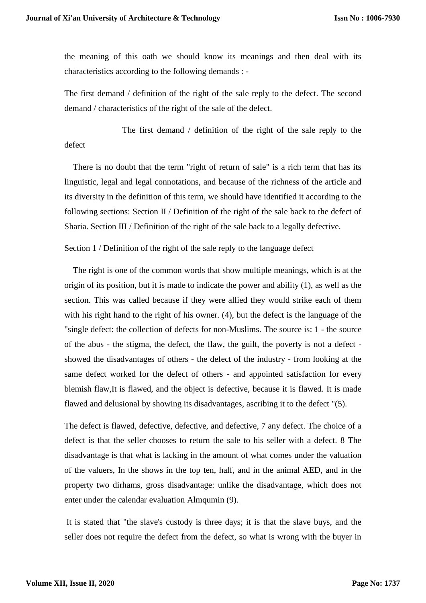the meaning of this oath we should know its meanings and then deal with its characteristics according to the following demands : -

The first demand / definition of the right of the sale reply to the defect. The second demand / characteristics of the right of the sale of the defect.

 The first demand / definition of the right of the sale reply to the defect

 There is no doubt that the term "right of return of sale" is a rich term that has its linguistic, legal and legal connotations, and because of the richness of the article and its diversity in the definition of this term, we should have identified it according to the following sections: Section II / Definition of the right of the sale back to the defect of Sharia. Section III / Definition of the right of the sale back to a legally defective.

Section 1 / Definition of the right of the sale reply to the language defect

 The right is one of the common words that show multiple meanings, which is at the origin of its position, but it is made to indicate the power and ability (1), as well as the section. This was called because if they were allied they would strike each of them with his right hand to the right of his owner. (4), but the defect is the language of the "single defect: the collection of defects for non-Muslims. The source is: 1 - the source of the abus - the stigma, the defect, the flaw, the guilt, the poverty is not a defect showed the disadvantages of others - the defect of the industry - from looking at the same defect worked for the defect of others - and appointed satisfaction for every blemish flaw,It is flawed, and the object is defective, because it is flawed. It is made flawed and delusional by showing its disadvantages, ascribing it to the defect "(5).

The defect is flawed, defective, defective, and defective, 7 any defect. The choice of a defect is that the seller chooses to return the sale to his seller with a defect. 8 The disadvantage is that what is lacking in the amount of what comes under the valuation of the valuers, In the shows in the top ten, half, and in the animal AED, and in the property two dirhams, gross disadvantage: unlike the disadvantage, which does not enter under the calendar evaluation Almqumin (9).

It is stated that "the slave's custody is three days; it is that the slave buys, and the seller does not require the defect from the defect, so what is wrong with the buyer in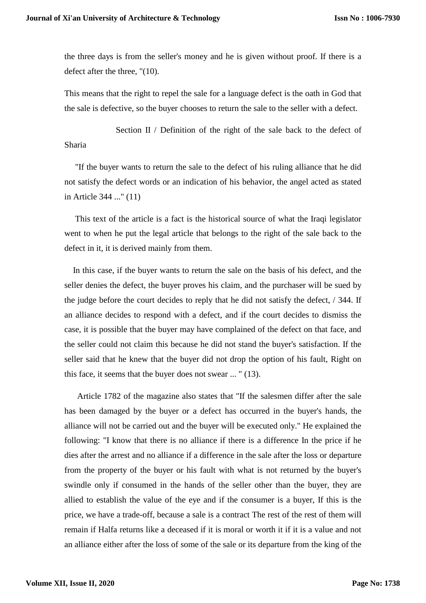the three days is from the seller's money and he is given without proof. If there is a defect after the three, "(10).

This means that the right to repel the sale for a language defect is the oath in God that the sale is defective, so the buyer chooses to return the sale to the seller with a defect.

 Section II / Definition of the right of the sale back to the defect of Sharia

 "If the buyer wants to return the sale to the defect of his ruling alliance that he did not satisfy the defect words or an indication of his behavior, the angel acted as stated in Article 344 ..." (11)

 This text of the article is a fact is the historical source of what the Iraqi legislator went to when he put the legal article that belongs to the right of the sale back to the defect in it, it is derived mainly from them.

 In this case, if the buyer wants to return the sale on the basis of his defect, and the seller denies the defect, the buyer proves his claim, and the purchaser will be sued by the judge before the court decides to reply that he did not satisfy the defect, / 344. If an alliance decides to respond with a defect, and if the court decides to dismiss the case, it is possible that the buyer may have complained of the defect on that face, and the seller could not claim this because he did not stand the buyer's satisfaction. If the seller said that he knew that the buyer did not drop the option of his fault, Right on this face, it seems that the buyer does not swear ... " (13).

 Article 1782 of the magazine also states that "If the salesmen differ after the sale has been damaged by the buyer or a defect has occurred in the buyer's hands, the alliance will not be carried out and the buyer will be executed only." He explained the following: "I know that there is no alliance if there is a difference In the price if he dies after the arrest and no alliance if a difference in the sale after the loss or departure from the property of the buyer or his fault with what is not returned by the buyer's swindle only if consumed in the hands of the seller other than the buyer, they are allied to establish the value of the eye and if the consumer is a buyer, If this is the price, we have a trade-off, because a sale is a contract The rest of the rest of them will remain if Halfa returns like a deceased if it is moral or worth it if it is a value and not an alliance either after the loss of some of the sale or its departure from the king of the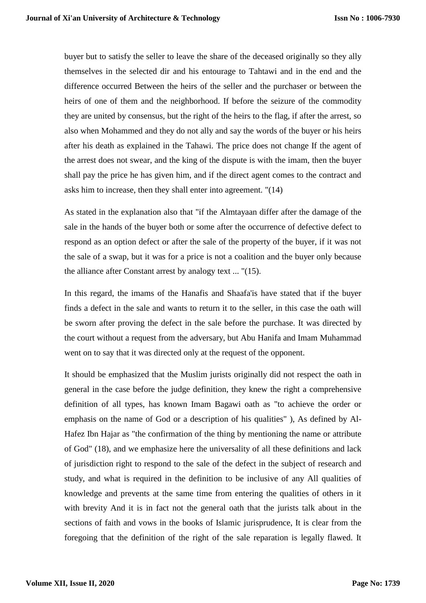buyer but to satisfy the seller to leave the share of the deceased originally so they ally themselves in the selected dir and his entourage to Tahtawi and in the end and the difference occurred Between the heirs of the seller and the purchaser or between the heirs of one of them and the neighborhood. If before the seizure of the commodity they are united by consensus, but the right of the heirs to the flag, if after the arrest, so also when Mohammed and they do not ally and say the words of the buyer or his heirs after his death as explained in the Tahawi. The price does not change If the agent of the arrest does not swear, and the king of the dispute is with the imam, then the buyer shall pay the price he has given him, and if the direct agent comes to the contract and asks him to increase, then they shall enter into agreement. "(14)

As stated in the explanation also that "if the Almtayaan differ after the damage of the sale in the hands of the buyer both or some after the occurrence of defective defect to respond as an option defect or after the sale of the property of the buyer, if it was not the sale of a swap, but it was for a price is not a coalition and the buyer only because the alliance after Constant arrest by analogy text ... "(15).

In this regard, the imams of the Hanafis and Shaafa'is have stated that if the buyer finds a defect in the sale and wants to return it to the seller, in this case the oath will be sworn after proving the defect in the sale before the purchase. It was directed by the court without a request from the adversary, but Abu Hanifa and Imam Muhammad went on to say that it was directed only at the request of the opponent.

It should be emphasized that the Muslim jurists originally did not respect the oath in general in the case before the judge definition, they knew the right a comprehensive definition of all types, has known Imam Bagawi oath as "to achieve the order or emphasis on the name of God or a description of his qualities" ), As defined by Al-Hafez Ibn Hajar as "the confirmation of the thing by mentioning the name or attribute of God" (18), and we emphasize here the universality of all these definitions and lack of jurisdiction right to respond to the sale of the defect in the subject of research and study, and what is required in the definition to be inclusive of any All qualities of knowledge and prevents at the same time from entering the qualities of others in it with brevity And it is in fact not the general oath that the jurists talk about in the sections of faith and vows in the books of Islamic jurisprudence, It is clear from the foregoing that the definition of the right of the sale reparation is legally flawed. It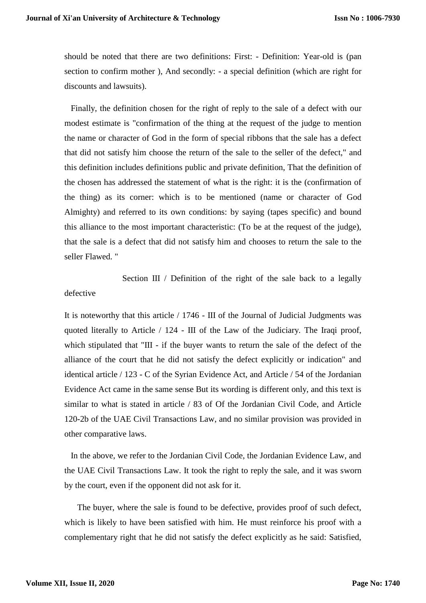should be noted that there are two definitions: First: - Definition: Year-old is (pan section to confirm mother ), And secondly: - a special definition (which are right for discounts and lawsuits).

 Finally, the definition chosen for the right of reply to the sale of a defect with our modest estimate is "confirmation of the thing at the request of the judge to mention the name or character of God in the form of special ribbons that the sale has a defect that did not satisfy him choose the return of the sale to the seller of the defect," and this definition includes definitions public and private definition, That the definition of the chosen has addressed the statement of what is the right: it is the (confirmation of the thing) as its corner: which is to be mentioned (name or character of God Almighty) and referred to its own conditions: by saying (tapes specific) and bound this alliance to the most important characteristic: (To be at the request of the judge), that the sale is a defect that did not satisfy him and chooses to return the sale to the seller Flawed. "

Section III / Definition of the right of the sale back to a legally defective

It is noteworthy that this article / 1746 - III of the Journal of Judicial Judgments was quoted literally to Article / 124 - III of the Law of the Judiciary. The Iraqi proof, which stipulated that "III - if the buyer wants to return the sale of the defect of the alliance of the court that he did not satisfy the defect explicitly or indication" and identical article / 123 - C of the Syrian Evidence Act, and Article / 54 of the Jordanian Evidence Act came in the same sense But its wording is different only, and this text is similar to what is stated in article / 83 of Of the Jordanian Civil Code, and Article 120-2b of the UAE Civil Transactions Law, and no similar provision was provided in other comparative laws.

 In the above, we refer to the Jordanian Civil Code, the Jordanian Evidence Law, and the UAE Civil Transactions Law. It took the right to reply the sale, and it was sworn by the court, even if the opponent did not ask for it.

 The buyer, where the sale is found to be defective, provides proof of such defect, which is likely to have been satisfied with him. He must reinforce his proof with a complementary right that he did not satisfy the defect explicitly as he said: Satisfied,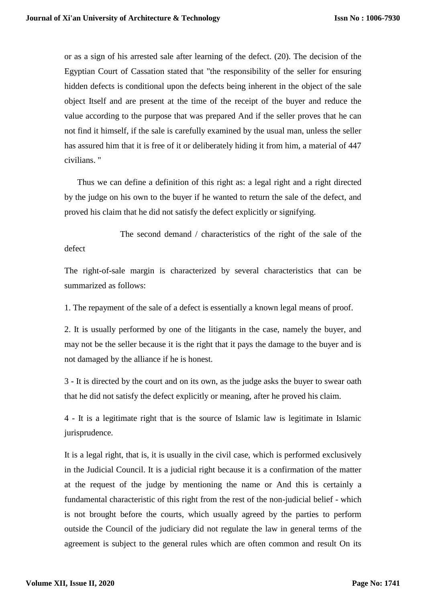or as a sign of his arrested sale after learning of the defect. (20). The decision of the Egyptian Court of Cassation stated that "the responsibility of the seller for ensuring hidden defects is conditional upon the defects being inherent in the object of the sale object Itself and are present at the time of the receipt of the buyer and reduce the value according to the purpose that was prepared And if the seller proves that he can not find it himself, if the sale is carefully examined by the usual man, unless the seller has assured him that it is free of it or deliberately hiding it from him, a material of 447 civilians. "

 Thus we can define a definition of this right as: a legal right and a right directed by the judge on his own to the buyer if he wanted to return the sale of the defect, and proved his claim that he did not satisfy the defect explicitly or signifying.

 The second demand / characteristics of the right of the sale of the defect

The right-of-sale margin is characterized by several characteristics that can be summarized as follows:

1. The repayment of the sale of a defect is essentially a known legal means of proof.

2. It is usually performed by one of the litigants in the case, namely the buyer, and may not be the seller because it is the right that it pays the damage to the buyer and is not damaged by the alliance if he is honest.

3 - It is directed by the court and on its own, as the judge asks the buyer to swear oath that he did not satisfy the defect explicitly or meaning, after he proved his claim.

4 - It is a legitimate right that is the source of Islamic law is legitimate in Islamic jurisprudence.

It is a legal right, that is, it is usually in the civil case, which is performed exclusively in the Judicial Council. It is a judicial right because it is a confirmation of the matter at the request of the judge by mentioning the name or And this is certainly a fundamental characteristic of this right from the rest of the non-judicial belief - which is not brought before the courts, which usually agreed by the parties to perform outside the Council of the judiciary did not regulate the law in general terms of the agreement is subject to the general rules which are often common and result On its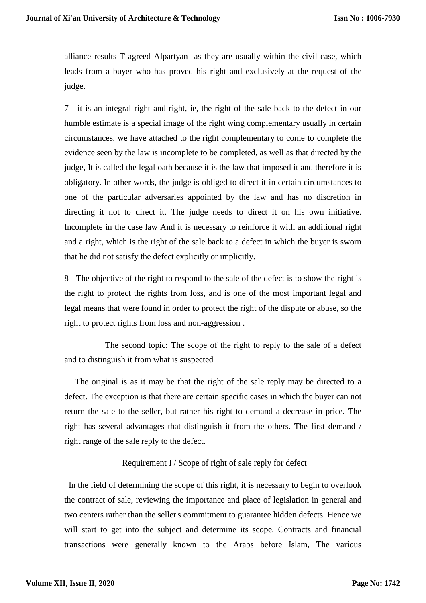alliance results T agreed Alpartyan- as they are usually within the civil case, which leads from a buyer who has proved his right and exclusively at the request of the judge.

7 - it is an integral right and right, ie, the right of the sale back to the defect in our humble estimate is a special image of the right wing complementary usually in certain circumstances, we have attached to the right complementary to come to complete the evidence seen by the law is incomplete to be completed, as well as that directed by the judge, It is called the legal oath because it is the law that imposed it and therefore it is obligatory. In other words, the judge is obliged to direct it in certain circumstances to one of the particular adversaries appointed by the law and has no discretion in directing it not to direct it. The judge needs to direct it on his own initiative. Incomplete in the case law And it is necessary to reinforce it with an additional right and a right, which is the right of the sale back to a defect in which the buyer is sworn that he did not satisfy the defect explicitly or implicitly.

8 - The objective of the right to respond to the sale of the defect is to show the right is the right to protect the rights from loss, and is one of the most important legal and legal means that were found in order to protect the right of the dispute or abuse, so the right to protect rights from loss and non-aggression .

 The second topic: The scope of the right to reply to the sale of a defect and to distinguish it from what is suspected

 The original is as it may be that the right of the sale reply may be directed to a defect. The exception is that there are certain specific cases in which the buyer can not return the sale to the seller, but rather his right to demand a decrease in price. The right has several advantages that distinguish it from the others. The first demand / right range of the sale reply to the defect.

## Requirement I / Scope of right of sale reply for defect

 In the field of determining the scope of this right, it is necessary to begin to overlook the contract of sale, reviewing the importance and place of legislation in general and two centers rather than the seller's commitment to guarantee hidden defects. Hence we will start to get into the subject and determine its scope. Contracts and financial transactions were generally known to the Arabs before Islam, The various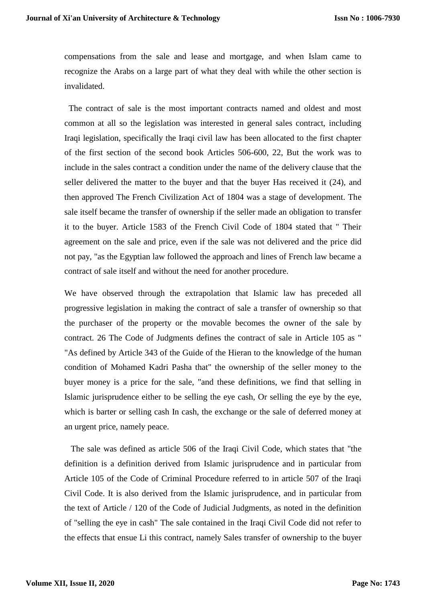compensations from the sale and lease and mortgage, and when Islam came to recognize the Arabs on a large part of what they deal with while the other section is invalidated.

 The contract of sale is the most important contracts named and oldest and most common at all so the legislation was interested in general sales contract, including Iraqi legislation, specifically the Iraqi civil law has been allocated to the first chapter of the first section of the second book Articles 506-600, 22, But the work was to include in the sales contract a condition under the name of the delivery clause that the seller delivered the matter to the buyer and that the buyer Has received it (24), and then approved The French Civilization Act of 1804 was a stage of development. The sale itself became the transfer of ownership if the seller made an obligation to transfer it to the buyer. Article 1583 of the French Civil Code of 1804 stated that " Their agreement on the sale and price, even if the sale was not delivered and the price did not pay, "as the Egyptian law followed the approach and lines of French law became a contract of sale itself and without the need for another procedure.

We have observed through the extrapolation that Islamic law has preceded all progressive legislation in making the contract of sale a transfer of ownership so that the purchaser of the property or the movable becomes the owner of the sale by contract. 26 The Code of Judgments defines the contract of sale in Article 105 as " "As defined by Article 343 of the Guide of the Hieran to the knowledge of the human condition of Mohamed Kadri Pasha that" the ownership of the seller money to the buyer money is a price for the sale, "and these definitions, we find that selling in Islamic jurisprudence either to be selling the eye cash, Or selling the eye by the eye, which is barter or selling cash In cash, the exchange or the sale of deferred money at an urgent price, namely peace.

 The sale was defined as article 506 of the Iraqi Civil Code, which states that "the definition is a definition derived from Islamic jurisprudence and in particular from Article 105 of the Code of Criminal Procedure referred to in article 507 of the Iraqi Civil Code. It is also derived from the Islamic jurisprudence, and in particular from the text of Article / 120 of the Code of Judicial Judgments, as noted in the definition of "selling the eye in cash" The sale contained in the Iraqi Civil Code did not refer to the effects that ensue Li this contract, namely Sales transfer of ownership to the buyer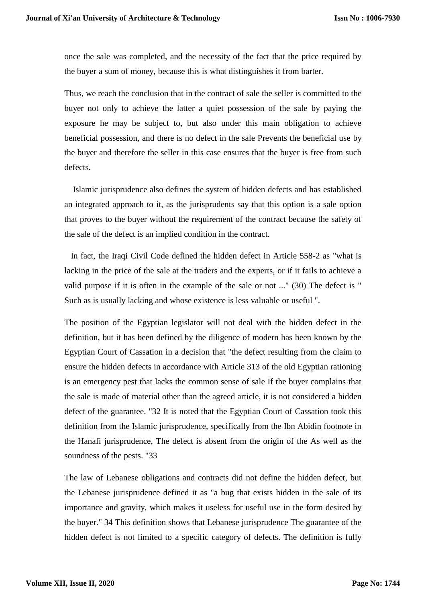once the sale was completed, and the necessity of the fact that the price required by the buyer a sum of money, because this is what distinguishes it from barter.

Thus, we reach the conclusion that in the contract of sale the seller is committed to the buyer not only to achieve the latter a quiet possession of the sale by paying the exposure he may be subject to, but also under this main obligation to achieve beneficial possession, and there is no defect in the sale Prevents the beneficial use by the buyer and therefore the seller in this case ensures that the buyer is free from such defects.

 Islamic jurisprudence also defines the system of hidden defects and has established an integrated approach to it, as the jurisprudents say that this option is a sale option that proves to the buyer without the requirement of the contract because the safety of the sale of the defect is an implied condition in the contract.

 In fact, the Iraqi Civil Code defined the hidden defect in Article 558-2 as "what is lacking in the price of the sale at the traders and the experts, or if it fails to achieve a valid purpose if it is often in the example of the sale or not ..." (30) The defect is " Such as is usually lacking and whose existence is less valuable or useful ".

The position of the Egyptian legislator will not deal with the hidden defect in the definition, but it has been defined by the diligence of modern has been known by the Egyptian Court of Cassation in a decision that "the defect resulting from the claim to ensure the hidden defects in accordance with Article 313 of the old Egyptian rationing is an emergency pest that lacks the common sense of sale If the buyer complains that the sale is made of material other than the agreed article, it is not considered a hidden defect of the guarantee. "32 It is noted that the Egyptian Court of Cassation took this definition from the Islamic jurisprudence, specifically from the Ibn Abidin footnote in the Hanafi jurisprudence, The defect is absent from the origin of the As well as the soundness of the pests. "33

The law of Lebanese obligations and contracts did not define the hidden defect, but the Lebanese jurisprudence defined it as "a bug that exists hidden in the sale of its importance and gravity, which makes it useless for useful use in the form desired by the buyer." 34 This definition shows that Lebanese jurisprudence The guarantee of the hidden defect is not limited to a specific category of defects. The definition is fully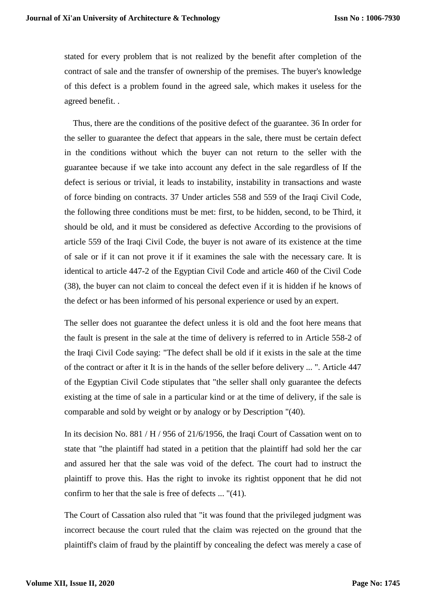stated for every problem that is not realized by the benefit after completion of the contract of sale and the transfer of ownership of the premises. The buyer's knowledge of this defect is a problem found in the agreed sale, which makes it useless for the agreed benefit. .

 Thus, there are the conditions of the positive defect of the guarantee. 36 In order for the seller to guarantee the defect that appears in the sale, there must be certain defect in the conditions without which the buyer can not return to the seller with the guarantee because if we take into account any defect in the sale regardless of If the defect is serious or trivial, it leads to instability, instability in transactions and waste of force binding on contracts. 37 Under articles 558 and 559 of the Iraqi Civil Code, the following three conditions must be met: first, to be hidden, second, to be Third, it should be old, and it must be considered as defective According to the provisions of article 559 of the Iraqi Civil Code, the buyer is not aware of its existence at the time of sale or if it can not prove it if it examines the sale with the necessary care. It is identical to article 447-2 of the Egyptian Civil Code and article 460 of the Civil Code (38), the buyer can not claim to conceal the defect even if it is hidden if he knows of the defect or has been informed of his personal experience or used by an expert.

The seller does not guarantee the defect unless it is old and the foot here means that the fault is present in the sale at the time of delivery is referred to in Article 558-2 of the Iraqi Civil Code saying: "The defect shall be old if it exists in the sale at the time of the contract or after it It is in the hands of the seller before delivery ... ". Article 447 of the Egyptian Civil Code stipulates that "the seller shall only guarantee the defects existing at the time of sale in a particular kind or at the time of delivery, if the sale is comparable and sold by weight or by analogy or by Description "(40).

In its decision No. 881 / H / 956 of 21/6/1956, the Iraqi Court of Cassation went on to state that "the plaintiff had stated in a petition that the plaintiff had sold her the car and assured her that the sale was void of the defect. The court had to instruct the plaintiff to prove this. Has the right to invoke its rightist opponent that he did not confirm to her that the sale is free of defects ... "(41).

The Court of Cassation also ruled that "it was found that the privileged judgment was incorrect because the court ruled that the claim was rejected on the ground that the plaintiff's claim of fraud by the plaintiff by concealing the defect was merely a case of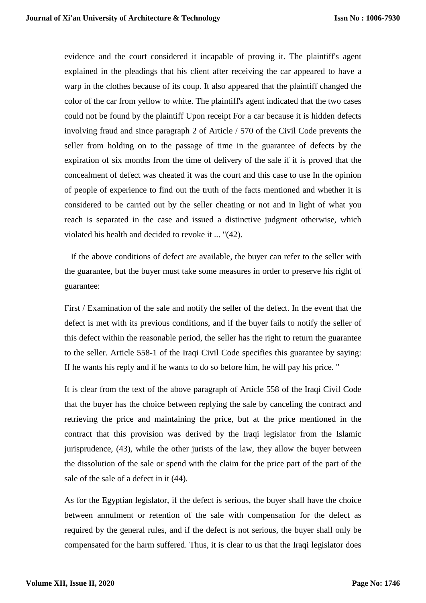evidence and the court considered it incapable of proving it. The plaintiff's agent explained in the pleadings that his client after receiving the car appeared to have a warp in the clothes because of its coup. It also appeared that the plaintiff changed the color of the car from yellow to white. The plaintiff's agent indicated that the two cases could not be found by the plaintiff Upon receipt For a car because it is hidden defects involving fraud and since paragraph 2 of Article / 570 of the Civil Code prevents the seller from holding on to the passage of time in the guarantee of defects by the expiration of six months from the time of delivery of the sale if it is proved that the concealment of defect was cheated it was the court and this case to use In the opinion of people of experience to find out the truth of the facts mentioned and whether it is considered to be carried out by the seller cheating or not and in light of what you reach is separated in the case and issued a distinctive judgment otherwise, which violated his health and decided to revoke it ... "(42).

 If the above conditions of defect are available, the buyer can refer to the seller with the guarantee, but the buyer must take some measures in order to preserve his right of guarantee:

First / Examination of the sale and notify the seller of the defect. In the event that the defect is met with its previous conditions, and if the buyer fails to notify the seller of this defect within the reasonable period, the seller has the right to return the guarantee to the seller. Article 558-1 of the Iraqi Civil Code specifies this guarantee by saying: If he wants his reply and if he wants to do so before him, he will pay his price. "

It is clear from the text of the above paragraph of Article 558 of the Iraqi Civil Code that the buyer has the choice between replying the sale by canceling the contract and retrieving the price and maintaining the price, but at the price mentioned in the contract that this provision was derived by the Iraqi legislator from the Islamic jurisprudence, (43), while the other jurists of the law, they allow the buyer between the dissolution of the sale or spend with the claim for the price part of the part of the sale of the sale of a defect in it (44).

As for the Egyptian legislator, if the defect is serious, the buyer shall have the choice between annulment or retention of the sale with compensation for the defect as required by the general rules, and if the defect is not serious, the buyer shall only be compensated for the harm suffered. Thus, it is clear to us that the Iraqi legislator does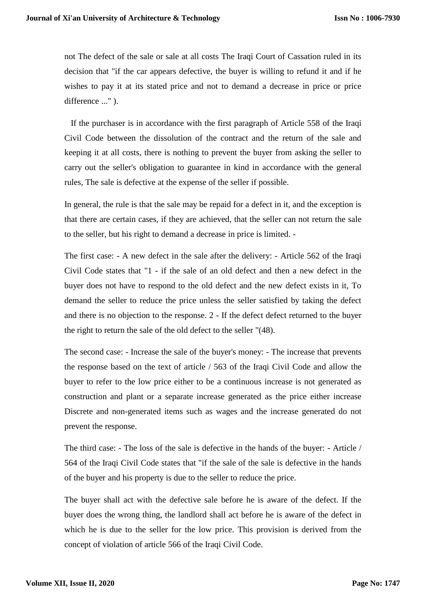not The defect of the sale or sale at all costs The Iraqi Court of Cassation ruled in its decision that "if the car appears defective, the buyer is willing to refund it and if he wishes to pay it at its stated price and not to demand a decrease in price or price difference ..." ).

 If the purchaser is in accordance with the first paragraph of Article 558 of the Iraqi Civil Code between the dissolution of the contract and the return of the sale and keeping it at all costs, there is nothing to prevent the buyer from asking the seller to carry out the seller's obligation to guarantee in kind in accordance with the general rules, The sale is defective at the expense of the seller if possible.

In general, the rule is that the sale may be repaid for a defect in it, and the exception is that there are certain cases, if they are achieved, that the seller can not return the sale to the seller, but his right to demand a decrease in price is limited. -

The first case: - A new defect in the sale after the delivery: - Article 562 of the Iraqi Civil Code states that "1 - if the sale of an old defect and then a new defect in the buyer does not have to respond to the old defect and the new defect exists in it, To demand the seller to reduce the price unless the seller satisfied by taking the defect and there is no objection to the response. 2 - If the defect defect returned to the buyer the right to return the sale of the old defect to the seller "(48).

The second case: - Increase the sale of the buyer's money: - The increase that prevents the response based on the text of article / 563 of the Iraqi Civil Code and allow the buyer to refer to the low price either to be a continuous increase is not generated as construction and plant or a separate increase generated as the price either increase Discrete and non-generated items such as wages and the increase generated do not prevent the response.

The third case: - The loss of the sale is defective in the hands of the buyer: - Article / 564 of the Iraqi Civil Code states that "if the sale of the sale is defective in the hands of the buyer and his property is due to the seller to reduce the price.

The buyer shall act with the defective sale before he is aware of the defect. If the buyer does the wrong thing, the landlord shall act before he is aware of the defect in which he is due to the seller for the low price. This provision is derived from the concept of violation of article 566 of the Iraqi Civil Code.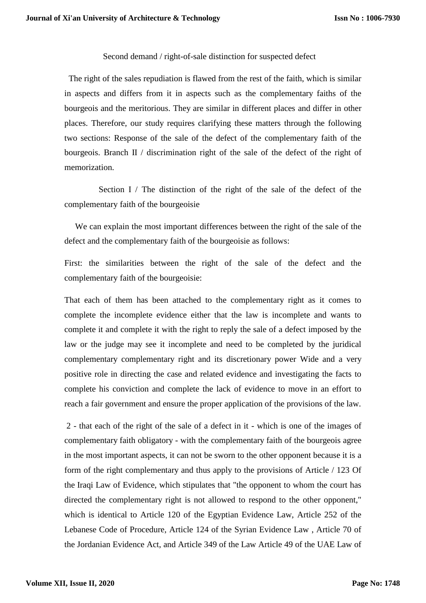Second demand / right-of-sale distinction for suspected defect

 The right of the sales repudiation is flawed from the rest of the faith, which is similar in aspects and differs from it in aspects such as the complementary faiths of the bourgeois and the meritorious. They are similar in different places and differ in other places. Therefore, our study requires clarifying these matters through the following two sections: Response of the sale of the defect of the complementary faith of the bourgeois. Branch II / discrimination right of the sale of the defect of the right of memorization.

 Section I / The distinction of the right of the sale of the defect of the complementary faith of the bourgeoisie

 We can explain the most important differences between the right of the sale of the defect and the complementary faith of the bourgeoisie as follows:

First: the similarities between the right of the sale of the defect and the complementary faith of the bourgeoisie:

That each of them has been attached to the complementary right as it comes to complete the incomplete evidence either that the law is incomplete and wants to complete it and complete it with the right to reply the sale of a defect imposed by the law or the judge may see it incomplete and need to be completed by the juridical complementary complementary right and its discretionary power Wide and a very positive role in directing the case and related evidence and investigating the facts to complete his conviction and complete the lack of evidence to move in an effort to reach a fair government and ensure the proper application of the provisions of the law.

2 - that each of the right of the sale of a defect in it - which is one of the images of complementary faith obligatory - with the complementary faith of the bourgeois agree in the most important aspects, it can not be sworn to the other opponent because it is a form of the right complementary and thus apply to the provisions of Article / 123 Of the Iraqi Law of Evidence, which stipulates that "the opponent to whom the court has directed the complementary right is not allowed to respond to the other opponent," which is identical to Article 120 of the Egyptian Evidence Law, Article 252 of the Lebanese Code of Procedure, Article 124 of the Syrian Evidence Law , Article 70 of the Jordanian Evidence Act, and Article 349 of the Law Article 49 of the UAE Law of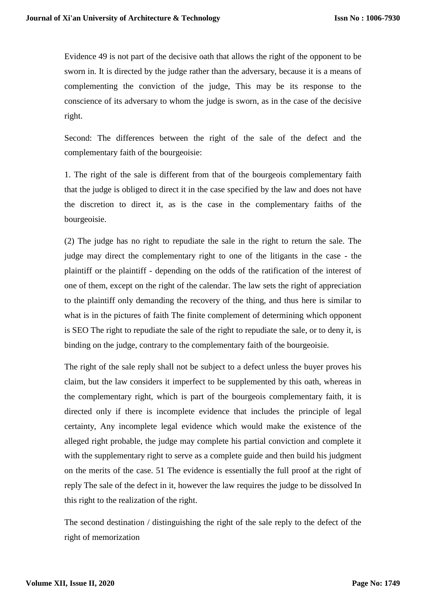Evidence 49 is not part of the decisive oath that allows the right of the opponent to be sworn in. It is directed by the judge rather than the adversary, because it is a means of complementing the conviction of the judge, This may be its response to the conscience of its adversary to whom the judge is sworn, as in the case of the decisive right.

Second: The differences between the right of the sale of the defect and the complementary faith of the bourgeoisie:

1. The right of the sale is different from that of the bourgeois complementary faith that the judge is obliged to direct it in the case specified by the law and does not have the discretion to direct it, as is the case in the complementary faiths of the bourgeoisie.

(2) The judge has no right to repudiate the sale in the right to return the sale. The judge may direct the complementary right to one of the litigants in the case - the plaintiff or the plaintiff - depending on the odds of the ratification of the interest of one of them, except on the right of the calendar. The law sets the right of appreciation to the plaintiff only demanding the recovery of the thing, and thus here is similar to what is in the pictures of faith The finite complement of determining which opponent is SEO The right to repudiate the sale of the right to repudiate the sale, or to deny it, is binding on the judge, contrary to the complementary faith of the bourgeoisie.

The right of the sale reply shall not be subject to a defect unless the buyer proves his claim, but the law considers it imperfect to be supplemented by this oath, whereas in the complementary right, which is part of the bourgeois complementary faith, it is directed only if there is incomplete evidence that includes the principle of legal certainty, Any incomplete legal evidence which would make the existence of the alleged right probable, the judge may complete his partial conviction and complete it with the supplementary right to serve as a complete guide and then build his judgment on the merits of the case. 51 The evidence is essentially the full proof at the right of reply The sale of the defect in it, however the law requires the judge to be dissolved In this right to the realization of the right.

The second destination / distinguishing the right of the sale reply to the defect of the right of memorization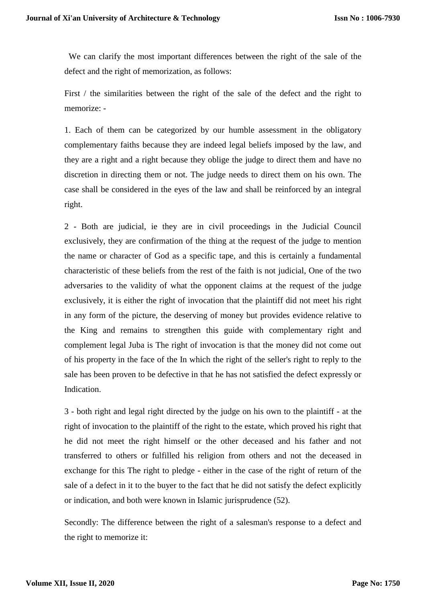We can clarify the most important differences between the right of the sale of the defect and the right of memorization, as follows:

First / the similarities between the right of the sale of the defect and the right to memorize: -

1. Each of them can be categorized by our humble assessment in the obligatory complementary faiths because they are indeed legal beliefs imposed by the law, and they are a right and a right because they oblige the judge to direct them and have no discretion in directing them or not. The judge needs to direct them on his own. The case shall be considered in the eyes of the law and shall be reinforced by an integral right.

2 - Both are judicial, ie they are in civil proceedings in the Judicial Council exclusively, they are confirmation of the thing at the request of the judge to mention the name or character of God as a specific tape, and this is certainly a fundamental characteristic of these beliefs from the rest of the faith is not judicial, One of the two adversaries to the validity of what the opponent claims at the request of the judge exclusively, it is either the right of invocation that the plaintiff did not meet his right in any form of the picture, the deserving of money but provides evidence relative to the King and remains to strengthen this guide with complementary right and complement legal Juba is The right of invocation is that the money did not come out of his property in the face of the In which the right of the seller's right to reply to the sale has been proven to be defective in that he has not satisfied the defect expressly or Indication.

3 - both right and legal right directed by the judge on his own to the plaintiff - at the right of invocation to the plaintiff of the right to the estate, which proved his right that he did not meet the right himself or the other deceased and his father and not transferred to others or fulfilled his religion from others and not the deceased in exchange for this The right to pledge - either in the case of the right of return of the sale of a defect in it to the buyer to the fact that he did not satisfy the defect explicitly or indication, and both were known in Islamic jurisprudence (52).

Secondly: The difference between the right of a salesman's response to a defect and the right to memorize it: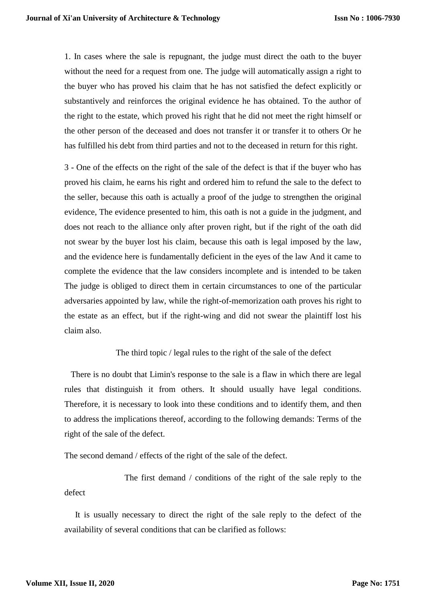1. In cases where the sale is repugnant, the judge must direct the oath to the buyer without the need for a request from one. The judge will automatically assign a right to the buyer who has proved his claim that he has not satisfied the defect explicitly or substantively and reinforces the original evidence he has obtained. To the author of the right to the estate, which proved his right that he did not meet the right himself or the other person of the deceased and does not transfer it or transfer it to others Or he has fulfilled his debt from third parties and not to the deceased in return for this right.

3 - One of the effects on the right of the sale of the defect is that if the buyer who has proved his claim, he earns his right and ordered him to refund the sale to the defect to the seller, because this oath is actually a proof of the judge to strengthen the original evidence, The evidence presented to him, this oath is not a guide in the judgment, and does not reach to the alliance only after proven right, but if the right of the oath did not swear by the buyer lost his claim, because this oath is legal imposed by the law, and the evidence here is fundamentally deficient in the eyes of the law And it came to complete the evidence that the law considers incomplete and is intended to be taken The judge is obliged to direct them in certain circumstances to one of the particular adversaries appointed by law, while the right-of-memorization oath proves his right to the estate as an effect, but if the right-wing and did not swear the plaintiff lost his claim also.

## The third topic / legal rules to the right of the sale of the defect

 There is no doubt that Limin's response to the sale is a flaw in which there are legal rules that distinguish it from others. It should usually have legal conditions. Therefore, it is necessary to look into these conditions and to identify them, and then to address the implications thereof, according to the following demands: Terms of the right of the sale of the defect.

The second demand / effects of the right of the sale of the defect.

 The first demand / conditions of the right of the sale reply to the defect

 It is usually necessary to direct the right of the sale reply to the defect of the availability of several conditions that can be clarified as follows: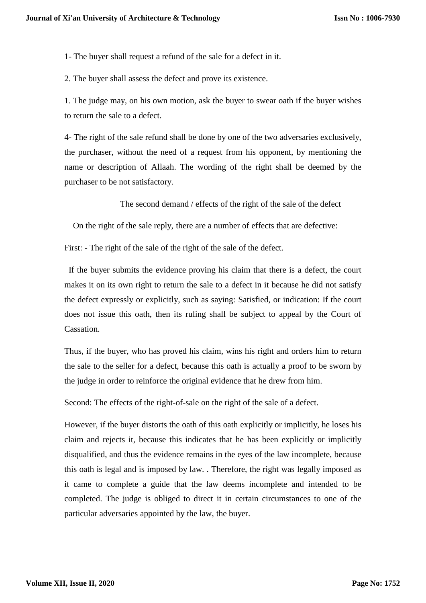1- The buyer shall request a refund of the sale for a defect in it.

2. The buyer shall assess the defect and prove its existence.

1. The judge may, on his own motion, ask the buyer to swear oath if the buyer wishes to return the sale to a defect.

4- The right of the sale refund shall be done by one of the two adversaries exclusively, the purchaser, without the need of a request from his opponent, by mentioning the name or description of Allaah. The wording of the right shall be deemed by the purchaser to be not satisfactory.

The second demand / effects of the right of the sale of the defect

On the right of the sale reply, there are a number of effects that are defective:

First: - The right of the sale of the right of the sale of the defect.

 If the buyer submits the evidence proving his claim that there is a defect, the court makes it on its own right to return the sale to a defect in it because he did not satisfy the defect expressly or explicitly, such as saying: Satisfied, or indication: If the court does not issue this oath, then its ruling shall be subject to appeal by the Court of Cassation.

Thus, if the buyer, who has proved his claim, wins his right and orders him to return the sale to the seller for a defect, because this oath is actually a proof to be sworn by the judge in order to reinforce the original evidence that he drew from him.

Second: The effects of the right-of-sale on the right of the sale of a defect.

However, if the buyer distorts the oath of this oath explicitly or implicitly, he loses his claim and rejects it, because this indicates that he has been explicitly or implicitly disqualified, and thus the evidence remains in the eyes of the law incomplete, because this oath is legal and is imposed by law. . Therefore, the right was legally imposed as it came to complete a guide that the law deems incomplete and intended to be completed. The judge is obliged to direct it in certain circumstances to one of the particular adversaries appointed by the law, the buyer.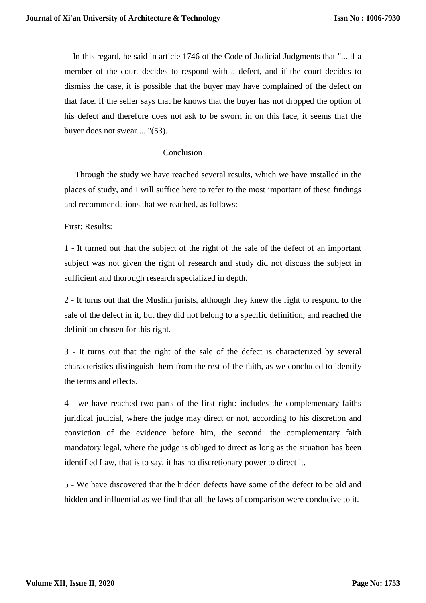In this regard, he said in article 1746 of the Code of Judicial Judgments that "... if a member of the court decides to respond with a defect, and if the court decides to dismiss the case, it is possible that the buyer may have complained of the defect on that face. If the seller says that he knows that the buyer has not dropped the option of his defect and therefore does not ask to be sworn in on this face, it seems that the buyer does not swear ... "(53).

#### Conclusion

 Through the study we have reached several results, which we have installed in the places of study, and I will suffice here to refer to the most important of these findings and recommendations that we reached, as follows:

First: Results:

1 - It turned out that the subject of the right of the sale of the defect of an important subject was not given the right of research and study did not discuss the subject in sufficient and thorough research specialized in depth.

2 - It turns out that the Muslim jurists, although they knew the right to respond to the sale of the defect in it, but they did not belong to a specific definition, and reached the definition chosen for this right.

3 - It turns out that the right of the sale of the defect is characterized by several characteristics distinguish them from the rest of the faith, as we concluded to identify the terms and effects.

4 - we have reached two parts of the first right: includes the complementary faiths juridical judicial, where the judge may direct or not, according to his discretion and conviction of the evidence before him, the second: the complementary faith mandatory legal, where the judge is obliged to direct as long as the situation has been identified Law, that is to say, it has no discretionary power to direct it.

5 - We have discovered that the hidden defects have some of the defect to be old and hidden and influential as we find that all the laws of comparison were conducive to it.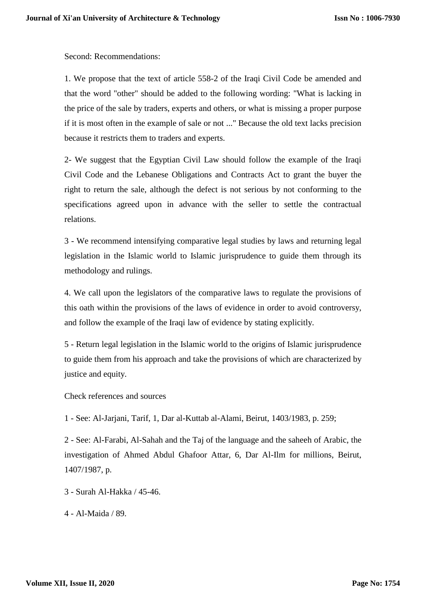Second: Recommendations:

1. We propose that the text of article 558-2 of the Iraqi Civil Code be amended and that the word "other" should be added to the following wording: "What is lacking in the price of the sale by traders, experts and others, or what is missing a proper purpose if it is most often in the example of sale or not ..." Because the old text lacks precision because it restricts them to traders and experts.

2- We suggest that the Egyptian Civil Law should follow the example of the Iraqi Civil Code and the Lebanese Obligations and Contracts Act to grant the buyer the right to return the sale, although the defect is not serious by not conforming to the specifications agreed upon in advance with the seller to settle the contractual relations.

3 - We recommend intensifying comparative legal studies by laws and returning legal legislation in the Islamic world to Islamic jurisprudence to guide them through its methodology and rulings.

4. We call upon the legislators of the comparative laws to regulate the provisions of this oath within the provisions of the laws of evidence in order to avoid controversy, and follow the example of the Iraqi law of evidence by stating explicitly.

5 - Return legal legislation in the Islamic world to the origins of Islamic jurisprudence to guide them from his approach and take the provisions of which are characterized by justice and equity.

Check references and sources

1 - See: Al-Jarjani, Tarif, 1, Dar al-Kuttab al-Alami, Beirut, 1403/1983, p. 259;

2 - See: Al-Farabi, Al-Sahah and the Taj of the language and the saheeh of Arabic, the investigation of Ahmed Abdul Ghafoor Attar, 6, Dar Al-Ilm for millions, Beirut, 1407/1987, p.

- 3 Surah Al-Hakka / 45-46.
- 4 Al-Maida / 89.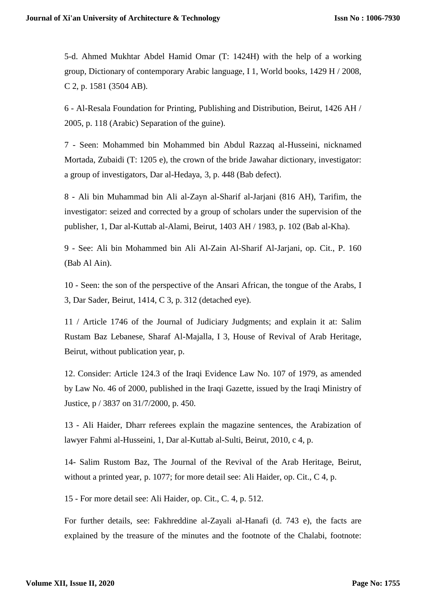5-d. Ahmed Mukhtar Abdel Hamid Omar (T: 1424H) with the help of a working group, Dictionary of contemporary Arabic language, I 1, World books, 1429 H / 2008, C 2, p. 1581 (3504 AB).

6 - Al-Resala Foundation for Printing, Publishing and Distribution, Beirut, 1426 AH / 2005, p. 118 (Arabic) Separation of the guine).

7 - Seen: Mohammed bin Mohammed bin Abdul Razzaq al-Husseini, nicknamed Mortada, Zubaidi (T: 1205 e), the crown of the bride Jawahar dictionary, investigator: a group of investigators, Dar al-Hedaya, 3, p. 448 (Bab defect).

8 - Ali bin Muhammad bin Ali al-Zayn al-Sharif al-Jarjani (816 AH), Tarifim, the investigator: seized and corrected by a group of scholars under the supervision of the publisher, 1, Dar al-Kuttab al-Alami, Beirut, 1403 AH / 1983, p. 102 (Bab al-Kha).

9 - See: Ali bin Mohammed bin Ali Al-Zain Al-Sharif Al-Jarjani, op. Cit., P. 160 (Bab Al Ain).

10 - Seen: the son of the perspective of the Ansari African, the tongue of the Arabs, I 3, Dar Sader, Beirut, 1414, C 3, p. 312 (detached eye).

11 / Article 1746 of the Journal of Judiciary Judgments; and explain it at: Salim Rustam Baz Lebanese, Sharaf Al-Majalla, I 3, House of Revival of Arab Heritage, Beirut, without publication year, p.

12. Consider: Article 124.3 of the Iraqi Evidence Law No. 107 of 1979, as amended by Law No. 46 of 2000, published in the Iraqi Gazette, issued by the Iraqi Ministry of Justice, p / 3837 on 31/7/2000, p. 450.

13 - Ali Haider, Dharr referees explain the magazine sentences, the Arabization of lawyer Fahmi al-Husseini, 1, Dar al-Kuttab al-Sulti, Beirut, 2010, c 4, p.

14- Salim Rustom Baz, The Journal of the Revival of the Arab Heritage, Beirut, without a printed year, p. 1077; for more detail see: Ali Haider, op. Cit., C 4, p.

15 - For more detail see: Ali Haider, op. Cit., C. 4, p. 512.

For further details, see: Fakhreddine al-Zayali al-Hanafi (d. 743 e), the facts are explained by the treasure of the minutes and the footnote of the Chalabi, footnote: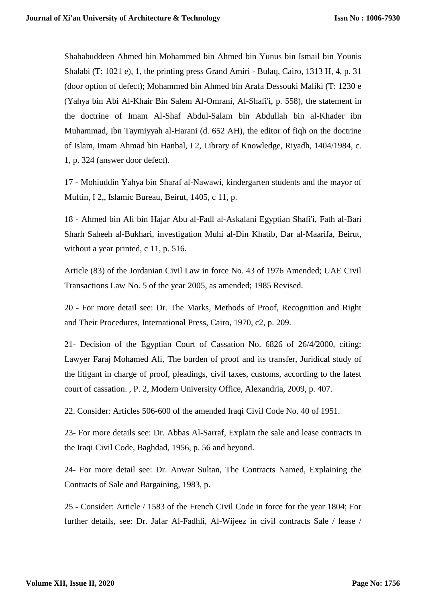Shahabuddeen Ahmed bin Mohammed bin Ahmed bin Yunus bin Ismail bin Younis Shalabi (T: 1021 e), 1, the printing press Grand Amiri - Bulaq, Cairo, 1313 H, 4, p. 31 (door option of defect); Mohammed bin Ahmed bin Arafa Dessouki Maliki (T: 1230 e (Yahya bin Abi Al-Khair Bin Salem Al-Omrani, Al-Shafi'i, p. 558), the statement in the doctrine of Imam Al-Shaf Abdul-Salam bin Abdullah bin al-Khader ibn Muhammad, Ibn Taymiyyah al-Harani (d. 652 AH), the editor of fiqh on the doctrine of Islam, Imam Ahmad bin Hanbal, I 2, Library of Knowledge, Riyadh, 1404/1984, c. 1, p. 324 (answer door defect).

17 - Mohiuddin Yahya bin Sharaf al-Nawawi, kindergarten students and the mayor of Muftin, I 2,, Islamic Bureau, Beirut, 1405, c 11, p.

18 - Ahmed bin Ali bin Hajar Abu al-Fadl al-Askalani Egyptian Shafi'i, Fath al-Bari Sharh Saheeh al-Bukhari, investigation Muhi al-Din Khatib, Dar al-Maarifa, Beirut, without a year printed, c 11, p. 516.

Article (83) of the Jordanian Civil Law in force No. 43 of 1976 Amended; UAE Civil Transactions Law No. 5 of the year 2005, as amended; 1985 Revised.

20 - For more detail see: Dr. The Marks, Methods of Proof, Recognition and Right and Their Procedures, International Press, Cairo, 1970, c2, p. 209.

21- Decision of the Egyptian Court of Cassation No. 6826 of 26/4/2000, citing: Lawyer Faraj Mohamed Ali, The burden of proof and its transfer, Juridical study of the litigant in charge of proof, pleadings, civil taxes, customs, according to the latest court of cassation. , P. 2, Modern University Office, Alexandria, 2009, p. 407.

22. Consider: Articles 506-600 of the amended Iraqi Civil Code No. 40 of 1951.

23- For more details see: Dr. Abbas Al-Sarraf, Explain the sale and lease contracts in the Iraqi Civil Code, Baghdad, 1956, p. 56 and beyond.

24- For more detail see: Dr. Anwar Sultan, The Contracts Named, Explaining the Contracts of Sale and Bargaining, 1983, p.

25 - Consider: Article / 1583 of the French Civil Code in force for the year 1804; For further details, see: Dr. Jafar Al-Fadhli, Al-Wijeez in civil contracts Sale / lease /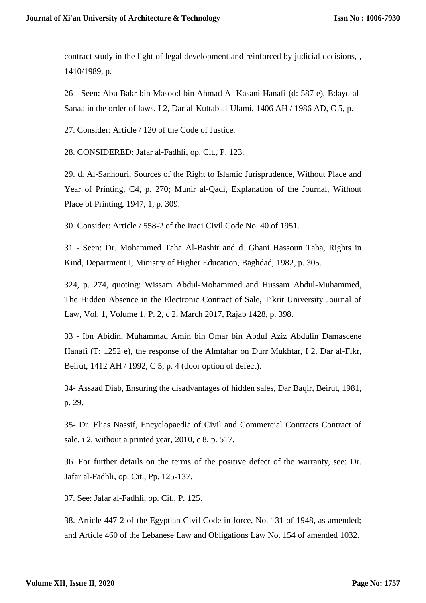contract study in the light of legal development and reinforced by judicial decisions, , 1410/1989, p.

26 - Seen: Abu Bakr bin Masood bin Ahmad Al-Kasani Hanafi (d: 587 e), Bdayd al-Sanaa in the order of laws, I 2, Dar al-Kuttab al-Ulami, 1406 AH / 1986 AD, C 5, p.

27. Consider: Article / 120 of the Code of Justice.

28. CONSIDERED: Jafar al-Fadhli, op. Cit., P. 123.

29. d. Al-Sanhouri, Sources of the Right to Islamic Jurisprudence, Without Place and Year of Printing, C4, p. 270; Munir al-Qadi, Explanation of the Journal, Without Place of Printing, 1947, 1, p. 309.

30. Consider: Article / 558-2 of the Iraqi Civil Code No. 40 of 1951.

31 - Seen: Dr. Mohammed Taha Al-Bashir and d. Ghani Hassoun Taha, Rights in Kind, Department I, Ministry of Higher Education, Baghdad, 1982, p. 305.

324, p. 274, quoting: Wissam Abdul-Mohammed and Hussam Abdul-Muhammed, The Hidden Absence in the Electronic Contract of Sale, Tikrit University Journal of Law, Vol. 1, Volume 1, P. 2, c 2, March 2017, Rajab 1428, p. 398.

33 - Ibn Abidin, Muhammad Amin bin Omar bin Abdul Aziz Abdulin Damascene Hanafi (T: 1252 e), the response of the Almtahar on Durr Mukhtar, I 2, Dar al-Fikr, Beirut, 1412 AH / 1992, C 5, p. 4 (door option of defect).

34- Assaad Diab, Ensuring the disadvantages of hidden sales, Dar Baqir, Beirut, 1981, p. 29.

35- Dr. Elias Nassif, Encyclopaedia of Civil and Commercial Contracts Contract of sale, i 2, without a printed year, 2010, c 8, p. 517.

36. For further details on the terms of the positive defect of the warranty, see: Dr. Jafar al-Fadhli, op. Cit., Pp. 125-137.

37. See: Jafar al-Fadhli, op. Cit., P. 125.

38. Article 447-2 of the Egyptian Civil Code in force, No. 131 of 1948, as amended; and Article 460 of the Lebanese Law and Obligations Law No. 154 of amended 1032.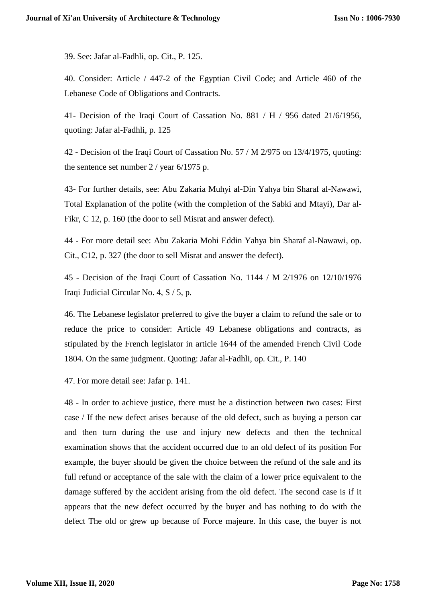39. See: Jafar al-Fadhli, op. Cit., P. 125.

40. Consider: Article / 447-2 of the Egyptian Civil Code; and Article 460 of the Lebanese Code of Obligations and Contracts.

41- Decision of the Iraqi Court of Cassation No. 881 / H / 956 dated 21/6/1956, quoting: Jafar al-Fadhli, p. 125

42 - Decision of the Iraqi Court of Cassation No. 57 / M 2/975 on 13/4/1975, quoting: the sentence set number 2 / year 6/1975 p.

43- For further details, see: Abu Zakaria Muhyi al-Din Yahya bin Sharaf al-Nawawi, Total Explanation of the polite (with the completion of the Sabki and Mtayi), Dar al-Fikr, C 12, p. 160 (the door to sell Misrat and answer defect).

44 - For more detail see: Abu Zakaria Mohi Eddin Yahya bin Sharaf al-Nawawi, op. Cit., C12, p. 327 (the door to sell Misrat and answer the defect).

45 - Decision of the Iraqi Court of Cassation No. 1144 / M 2/1976 on 12/10/1976 Iraqi Judicial Circular No. 4, S / 5, p.

46. The Lebanese legislator preferred to give the buyer a claim to refund the sale or to reduce the price to consider: Article 49 Lebanese obligations and contracts, as stipulated by the French legislator in article 1644 of the amended French Civil Code 1804. On the same judgment. Quoting: Jafar al-Fadhli, op. Cit., P. 140

47. For more detail see: Jafar p. 141.

48 - In order to achieve justice, there must be a distinction between two cases: First case / If the new defect arises because of the old defect, such as buying a person car and then turn during the use and injury new defects and then the technical examination shows that the accident occurred due to an old defect of its position For example, the buyer should be given the choice between the refund of the sale and its full refund or acceptance of the sale with the claim of a lower price equivalent to the damage suffered by the accident arising from the old defect. The second case is if it appears that the new defect occurred by the buyer and has nothing to do with the defect The old or grew up because of Force majeure. In this case, the buyer is not